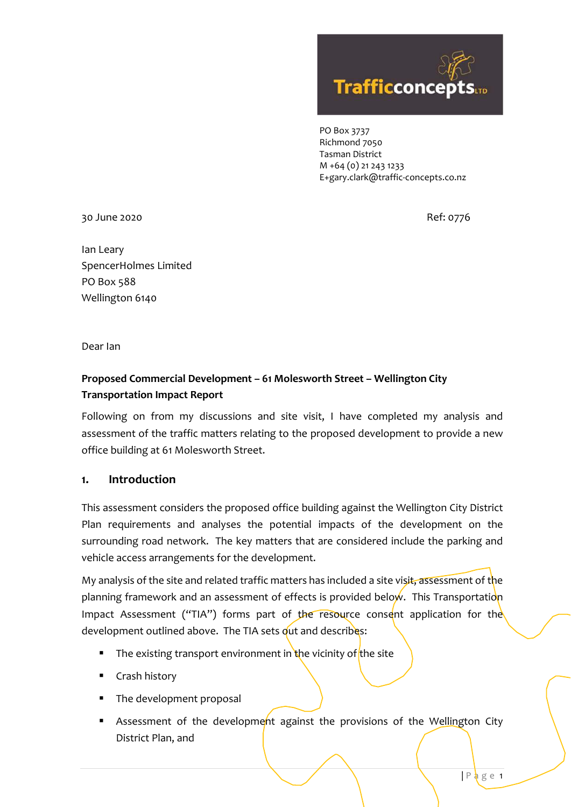

PO Box 3737 Richmond 7050 Tasman District M +64 (0) 21 243 1233 E+gary.clark@traffic-concepts.co.nz

30 June 2020 Ref: 0776

Ian Leary SpencerHolmes Limited PO Box 588 Wellington 6140

Dear Ian

# **Proposed Commercial Development – 61 Molesworth Street – Wellington City Transportation Impact Report**

Following on from my discussions and site visit, I have completed my analysis and assessment of the traffic matters relating to the proposed development to provide a new office building at 61 Molesworth Street.

## **1. Introduction**

This assessment considers the proposed office building against the Wellington City District Plan requirements and analyses the potential impacts of the development on the surrounding road network. The key matters that are considered include the parking and vehicle access arrangements for the development.

My analysis of the site and related traffic matters has included a site visit, assessment of the planning framework and an assessment of effects is provided below. This Transportation Impact Assessment ("TIA") forms part of the resource consent application for the development outlined above. The TIA sets out and describes:

- The existing transport environment in the vicinity of the site
- **Crash history**
- The development proposal
- Assessment of the development against the provisions of the Wellington City District Plan, and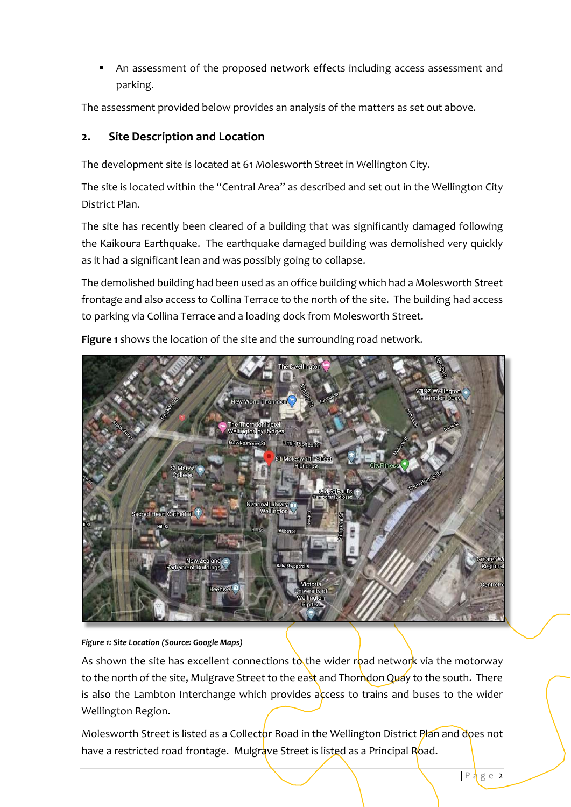An assessment of the proposed network effects including access assessment and parking.

The assessment provided below provides an analysis of the matters as set out above.

## **2. Site Description and Location**

The development site is located at 61 Molesworth Street in Wellington City.

The site is located within the "Central Area" as described and set out in the Wellington City District Plan.

The site has recently been cleared of a building that was significantly damaged following the Kaikoura Earthquake. The earthquake damaged building was demolished very quickly as it had a significant lean and was possibly going to collapse.

The demolished building had been used as an office building which had a Molesworth Street frontage and also access to Collina Terrace to the north of the site. The building had access to parking via Collina Terrace and a loading dock from Molesworth Street.

**Figure 1** shows the location of the site and the surrounding road network.



#### *Figure 1: Site Location (Source: Google Maps)*

As shown the site has excellent connections to the wider road network via the motorway to the north of the site, Mulgrave Street to the east and Thorndon Quay to the south. There is also the Lambton Interchange which provides access to trains and buses to the wider Wellington Region.

Molesworth Street is listed as a Collector Road in the Wellington District Plan and does not have a restricted road frontage. Mulgrave Street is listed as a Principal Road.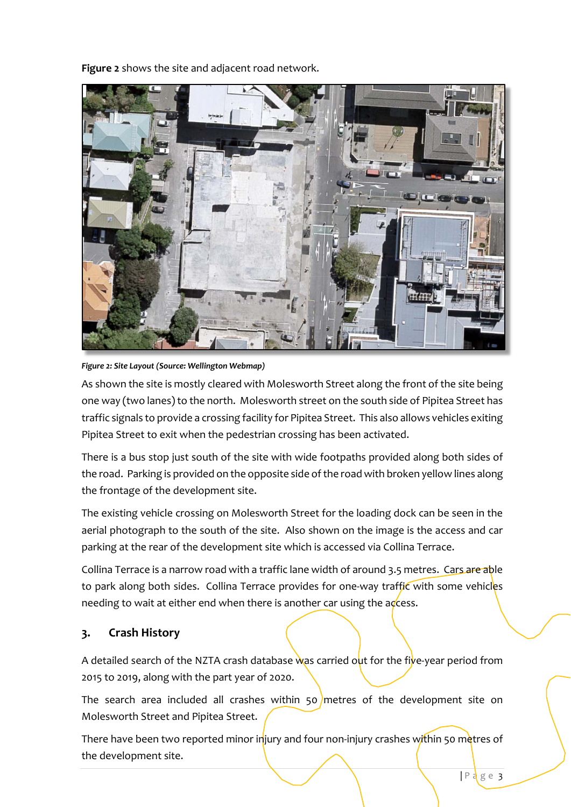**Figure 2** shows the site and adjacent road network.



*Figure 2: Site Layout (Source: Wellington Webmap)* 

As shown the site is mostly cleared with Molesworth Street along the front of the site being one way (two lanes) to the north. Molesworth street on the south side of Pipitea Street has traffic signals to provide a crossing facility for Pipitea Street. This also allows vehicles exiting Pipitea Street to exit when the pedestrian crossing has been activated.

There is a bus stop just south of the site with wide footpaths provided along both sides of the road. Parking is provided on the opposite side of the road with broken yellow lines along the frontage of the development site.

The existing vehicle crossing on Molesworth Street for the loading dock can be seen in the aerial photograph to the south of the site. Also shown on the image is the access and car parking at the rear of the development site which is accessed via Collina Terrace.

Collina Terrace is a narrow road with a traffic lane width of around 3.5 metres. Cars are able to park along both sides. Collina Terrace provides for one-way traffic with some vehicles needing to wait at either end when there is another car using the  $\alpha$  cess.

# **3. Crash History**

A detailed search of the NZTA crash database was carried out for the five-year period from 2015 to 2019, along with the part year of 2020.

The search area included all crashes within 50 metres of the development site on Molesworth Street and Pipitea Street.

There have been two reported minor injury and four non-injury crashes within 50 metres of the development site.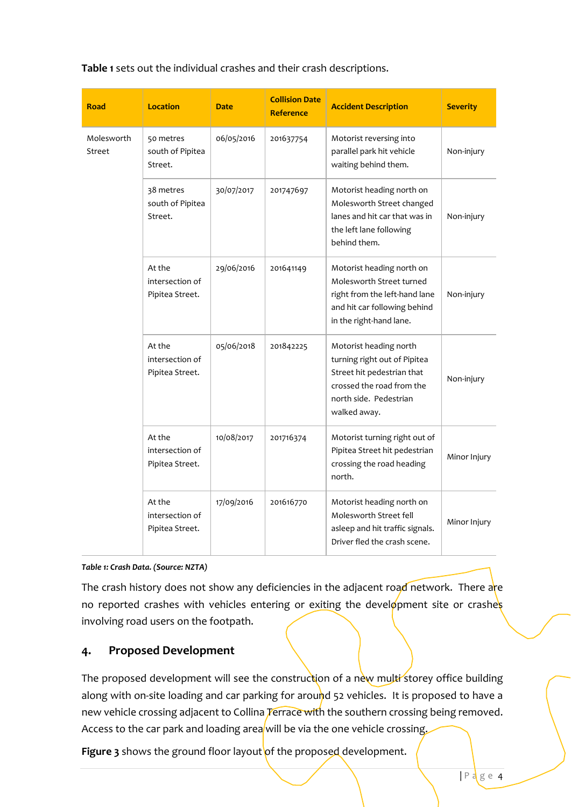**Table 1** sets out the individual crashes and their crash descriptions.

| <b>Road</b>          | <b>Location</b>                              | <b>Date</b> | <b>Collision Date</b><br><b>Reference</b> | <b>Accident Description</b>                                                                                                                                 | <b>Severity</b> |
|----------------------|----------------------------------------------|-------------|-------------------------------------------|-------------------------------------------------------------------------------------------------------------------------------------------------------------|-----------------|
| Molesworth<br>Street | 50 metres<br>south of Pipitea<br>Street.     | 06/05/2016  | 201637754                                 | Motorist reversing into<br>parallel park hit vehicle<br>waiting behind them.                                                                                | Non-injury      |
|                      | 38 metres<br>south of Pipitea<br>Street.     | 30/07/2017  | 201747697                                 | Motorist heading north on<br>Molesworth Street changed<br>lanes and hit car that was in<br>the left lane following<br>behind them.                          | Non-injury      |
|                      | At the<br>intersection of<br>Pipitea Street. | 29/06/2016  | 201641149                                 | Motorist heading north on<br>Molesworth Street turned<br>right from the left-hand lane<br>and hit car following behind<br>in the right-hand lane.           | Non-injury      |
|                      | At the<br>intersection of<br>Pipitea Street. | 05/06/2018  | 201842225                                 | Motorist heading north<br>turning right out of Pipitea<br>Street hit pedestrian that<br>crossed the road from the<br>north side. Pedestrian<br>walked away. | Non-injury      |
|                      | At the<br>intersection of<br>Pipitea Street. | 10/08/2017  | 201716374                                 | Motorist turning right out of<br>Pipitea Street hit pedestrian<br>crossing the road heading<br>north.                                                       | Minor Injury    |
|                      | At the<br>intersection of<br>Pipitea Street. | 17/09/2016  | 201616770                                 | Motorist heading north on<br>Molesworth Street fell<br>asleep and hit traffic signals.<br>Driver fled the crash scene.                                      | Minor Injury    |

*Table 1: Crash Data. (Source: NZTA)* 

The crash history does not show any deficiencies in the adjacent road network. There are no reported crashes with vehicles entering or exiting the development site or crashes involving road users on the footpath.

### **4. Proposed Development**

The proposed development will see the construction of a new multi storey office building along with on-site loading and car parking for around 52 vehicles. It is proposed to have a new vehicle crossing adjacent to Collina Terrace with the southern crossing being removed. Access to the car park and loading area will be via the one vehicle crossing.

Figure 3 shows the ground floor layout of the proposed development.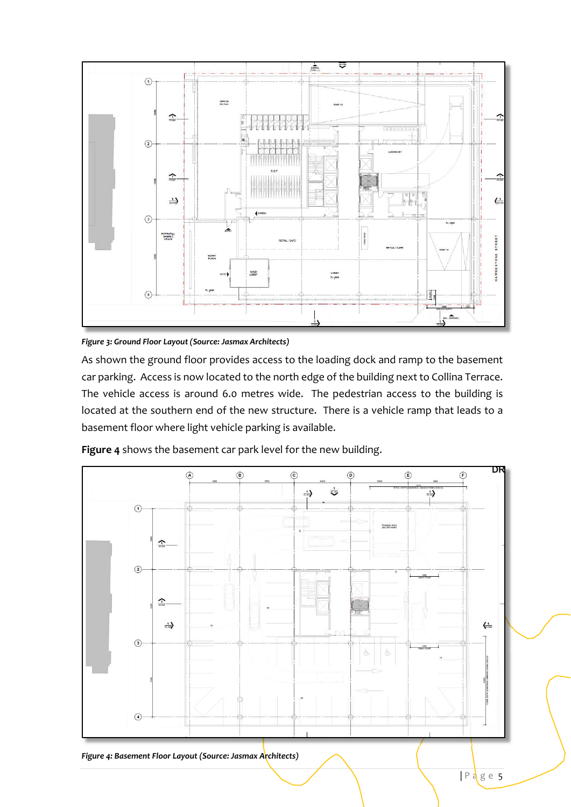

*Figure 3: Ground Floor Layout (Source: Jasmax Architects)* 

As shown the ground floor provides access to the loading dock and ramp to the basement car parking. Access is now located to the north edge of the building next to Collina Terrace. The vehicle access is around 6.0 metres wide. The pedestrian access to the building is located at the southern end of the new structure. There is a vehicle ramp that leads to a basement floor where light vehicle parking is available.



**Figure 4** shows the basement car park level for the new building.

*Figure 4: Basement Floor Layout (Source: Jasmax Architects)*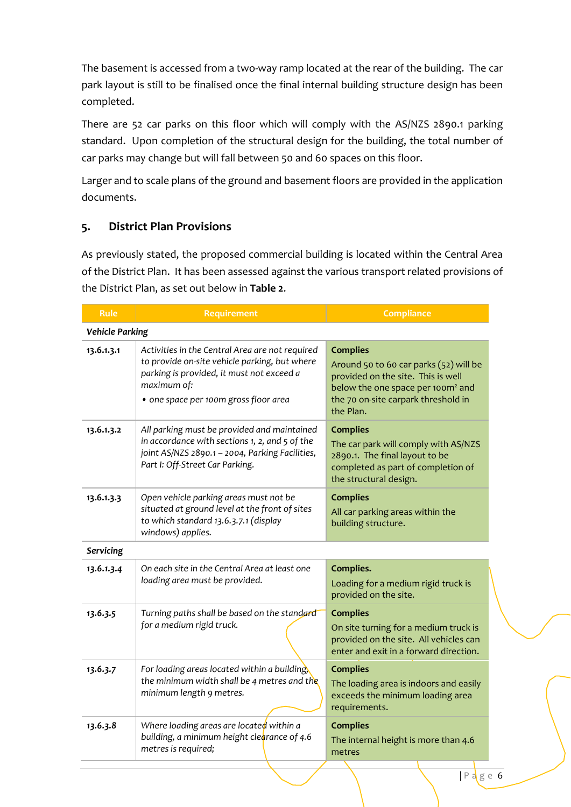The basement is accessed from a two-way ramp located at the rear of the building. The car park layout is still to be finalised once the final internal building structure design has been completed.

There are 52 car parks on this floor which will comply with the AS/NZS 2890.1 parking standard. Upon completion of the structural design for the building, the total number of car parks may change but will fall between 50 and 60 spaces on this floor.

Larger and to scale plans of the ground and basement floors are provided in the application documents.

# **5. District Plan Provisions**

As previously stated, the proposed commercial building is located within the Central Area of the District Plan. It has been assessed against the various transport related provisions of the District Plan, as set out below in **Table 2**.

| <b>Rule</b>            | <b>Requirement</b>                                                                                                                                                                                    | <b>Compliance</b>                                                                                                                                                                                    |  |  |  |  |
|------------------------|-------------------------------------------------------------------------------------------------------------------------------------------------------------------------------------------------------|------------------------------------------------------------------------------------------------------------------------------------------------------------------------------------------------------|--|--|--|--|
| <b>Vehicle Parking</b> |                                                                                                                                                                                                       |                                                                                                                                                                                                      |  |  |  |  |
| 13.6.1.3.1             | Activities in the Central Area are not required<br>to provide on-site vehicle parking, but where<br>parking is provided, it must not exceed a<br>maximum of:<br>• one space per 100m gross floor area | <b>Complies</b><br>Around 50 to 60 car parks (52) will be<br>provided on the site. This is well<br>below the one space per 100m <sup>2</sup> and<br>the 70 on-site carpark threshold in<br>the Plan. |  |  |  |  |
| 13.6.1.3.2             | All parking must be provided and maintained<br>in accordance with sections 1, 2, and 5 of the<br>joint AS/NZS 2890.1 - 2004, Parking Facilities,<br>Part I: Off-Street Car Parking.                   | <b>Complies</b><br>The car park will comply with AS/NZS<br>2890.1. The final layout to be<br>completed as part of completion of<br>the structural design.                                            |  |  |  |  |
| 13.6.1.3.3             | Open vehicle parking areas must not be<br>situated at ground level at the front of sites<br>to which standard 13.6.3.7.1 (display<br>windows) applies.                                                | <b>Complies</b><br>All car parking areas within the<br>building structure.                                                                                                                           |  |  |  |  |
| Servicing              |                                                                                                                                                                                                       |                                                                                                                                                                                                      |  |  |  |  |
| 13.6.1.3.4             | On each site in the Central Area at least one<br>loading area must be provided.                                                                                                                       | Complies.<br>Loading for a medium rigid truck is<br>provided on the site.                                                                                                                            |  |  |  |  |
| 13.6.3.5               | Turning paths shall be based on the standard<br>for a medium rigid truck.                                                                                                                             | <b>Complies</b><br>On site turning for a medium truck is<br>provided on the site. All vehicles can<br>enter and exit in a forward direction.                                                         |  |  |  |  |
| 13.6.3.7               | For loading areas located within a building,<br>the minimum width shall be 4 metres and the<br>minimum length 9 metres.                                                                               | <b>Complies</b><br>The loading area is indoors and easily<br>exceeds the minimum loading area<br>requirements.                                                                                       |  |  |  |  |
| 13.6.3.8               | Where loading areas are located within a<br>building, a minimum height clearance of 4.6<br>metres is required;                                                                                        | <b>Complies</b><br>The internal height is more than 4.6<br>metres                                                                                                                                    |  |  |  |  |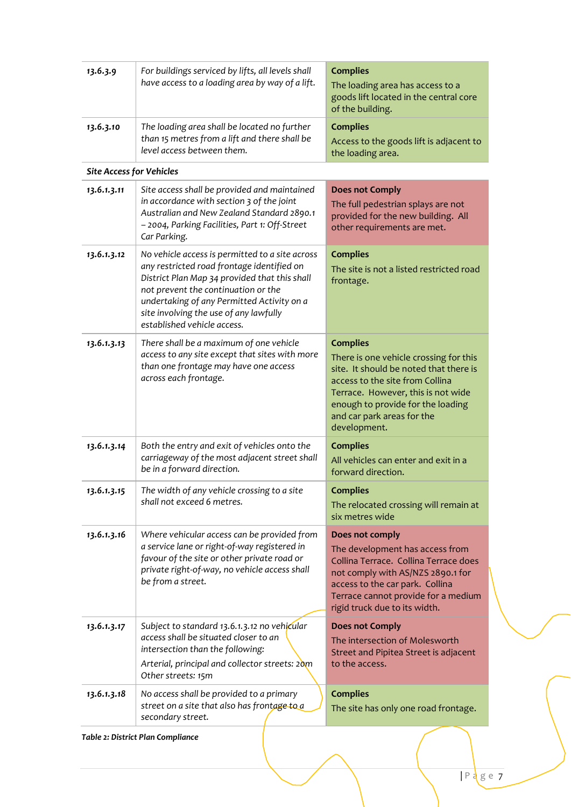| 13.6.3.9                        | For buildings serviced by lifts, all levels shall<br>have access to a loading area by way of a lift.                                                                                                                                                                                                         | <b>Complies</b><br>The loading area has access to a<br>goods lift located in the central core<br>of the building.                                                                                                                                               |  |  |  |  |
|---------------------------------|--------------------------------------------------------------------------------------------------------------------------------------------------------------------------------------------------------------------------------------------------------------------------------------------------------------|-----------------------------------------------------------------------------------------------------------------------------------------------------------------------------------------------------------------------------------------------------------------|--|--|--|--|
| 13.6.3.10                       | The loading area shall be located no further<br>than 15 metres from a lift and there shall be<br>level access between them.                                                                                                                                                                                  | <b>Complies</b><br>Access to the goods lift is adjacent to<br>the loading area.                                                                                                                                                                                 |  |  |  |  |
| <b>Site Access for Vehicles</b> |                                                                                                                                                                                                                                                                                                              |                                                                                                                                                                                                                                                                 |  |  |  |  |
| 13.6.1.3.11                     | Site access shall be provided and maintained<br>in accordance with section 3 of the joint<br>Australian and New Zealand Standard 2890.1<br>- 2004, Parking Facilities, Part 1: Off-Street<br>Car Parking.                                                                                                    | <b>Does not Comply</b><br>The full pedestrian splays are not<br>provided for the new building. All<br>other requirements are met.                                                                                                                               |  |  |  |  |
| 13.6.1.3.12                     | No vehicle access is permitted to a site across<br>any restricted road frontage identified on<br>District Plan Map 34 provided that this shall<br>not prevent the continuation or the<br>undertaking of any Permitted Activity on a<br>site involving the use of any lawfully<br>established vehicle access. | <b>Complies</b><br>The site is not a listed restricted road<br>frontage.                                                                                                                                                                                        |  |  |  |  |
| 13.6.1.3.13                     | There shall be a maximum of one vehicle<br>access to any site except that sites with more<br>than one frontage may have one access<br>across each frontage.                                                                                                                                                  | <b>Complies</b><br>There is one vehicle crossing for this<br>site. It should be noted that there is<br>access to the site from Collina<br>Terrace. However, this is not wide<br>enough to provide for the loading<br>and car park areas for the<br>development. |  |  |  |  |
| 13.6.1.3.14                     | Both the entry and exit of vehicles onto the<br>carriageway of the most adjacent street shall<br>be in a forward direction.                                                                                                                                                                                  | <b>Complies</b><br>All vehicles can enter and exit in a<br>forward direction.                                                                                                                                                                                   |  |  |  |  |
| 13.6.1.3.15                     | The width of any vehicle crossing to a site<br>shall not exceed 6 metres.                                                                                                                                                                                                                                    | <b>Complies</b><br>The relocated crossing will remain at<br>six metres wide                                                                                                                                                                                     |  |  |  |  |
| 13.6.1.3.16                     | Where vehicular access can be provided from<br>a service lane or right-of-way registered in<br>favour of the site or other private road or<br>private right-of-way, no vehicle access shall<br>be from a street.                                                                                             | Does not comply<br>The development has access from<br>Collina Terrace. Collina Terrace does<br>not comply with AS/NZS 2890.1 for<br>access to the car park. Collina<br>Terrace cannot provide for a medium<br>rigid truck due to its width.                     |  |  |  |  |
| 13.6.1.3.17                     | Subject to standard 13.6.1.3.12 no vehicular<br>access shall be situated closer to an<br>intersection than the following:<br>Arterial, principal and collector streets: 20m<br>Other streets: 15m                                                                                                            | <b>Does not Comply</b><br>The intersection of Molesworth<br>Street and Pipitea Street is adjacent<br>to the access.                                                                                                                                             |  |  |  |  |
| 13.6.1.3.18                     | No access shall be provided to a primary<br>street on a site that also has frontage to a<br>secondary street.                                                                                                                                                                                                | <b>Complies</b><br>The site has only one road frontage.                                                                                                                                                                                                         |  |  |  |  |

*Table 2: District Plan Compliance*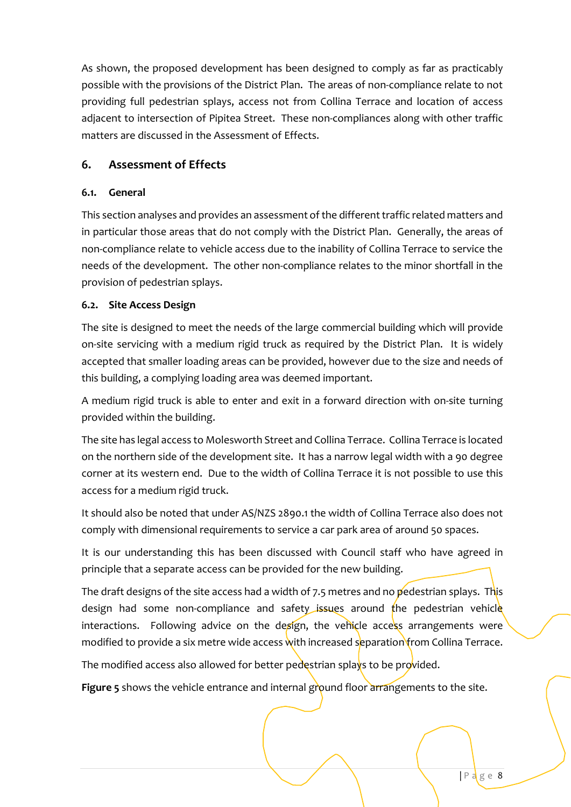As shown, the proposed development has been designed to comply as far as practicably possible with the provisions of the District Plan. The areas of non-compliance relate to not providing full pedestrian splays, access not from Collina Terrace and location of access adjacent to intersection of Pipitea Street. These non-compliances along with other traffic matters are discussed in the Assessment of Effects.

## **6. Assessment of Effects**

#### **6.1. General**

This section analyses and provides an assessment of the different traffic related matters and in particular those areas that do not comply with the District Plan. Generally, the areas of non-compliance relate to vehicle access due to the inability of Collina Terrace to service the needs of the development. The other non-compliance relates to the minor shortfall in the provision of pedestrian splays.

### **6.2. Site Access Design**

The site is designed to meet the needs of the large commercial building which will provide on-site servicing with a medium rigid truck as required by the District Plan. It is widely accepted that smaller loading areas can be provided, however due to the size and needs of this building, a complying loading area was deemed important.

A medium rigid truck is able to enter and exit in a forward direction with on-site turning provided within the building.

The site has legal access to Molesworth Street and Collina Terrace. Collina Terrace is located on the northern side of the development site. It has a narrow legal width with a 90 degree corner at its western end. Due to the width of Collina Terrace it is not possible to use this access for a medium rigid truck.

It should also be noted that under AS/NZS 2890.1 the width of Collina Terrace also does not comply with dimensional requirements to service a car park area of around 50 spaces.

It is our understanding this has been discussed with Council staff who have agreed in principle that a separate access can be provided for the new building.

The draft designs of the site access had a width of 7.5 metres and no pedestrian splays. This design had some non-compliance and safety issues around the pedestrian vehicle interactions. Following advice on the design, the vehicle access arrangements were modified to provide a six metre wide access with increased separation from Collina Terrace.

The modified access also allowed for better pedestrian splays to be provided.

Figure 5 shows the vehicle entrance and internal ground floor arrangements to the site.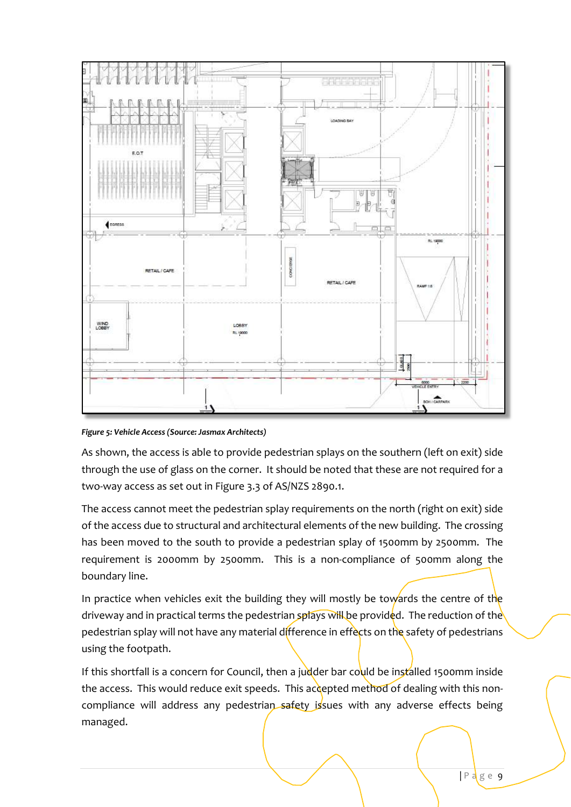

*Figure 5: Vehicle Access (Source: Jasmax Architects)* 

As shown, the access is able to provide pedestrian splays on the southern (left on exit) side through the use of glass on the corner. It should be noted that these are not required for a two-way access as set out in Figure 3.3 of AS/NZS 2890.1.

The access cannot meet the pedestrian splay requirements on the north (right on exit) side of the access due to structural and architectural elements of the new building. The crossing has been moved to the south to provide a pedestrian splay of 1500mm by 2500mm. The requirement is 2000mm by 2500mm. This is a non-compliance of 500mm along the boundary line.

In practice when vehicles exit the building they will mostly be towards the centre of the driveway and in practical terms the pedestrian splays will be provided. The reduction of the pedestrian splay will not have any material difference in effects on the safety of pedestrians using the footpath.

If this shortfall is a concern for Council, then a judder bar could be installed 1500mm inside the access. This would reduce exit speeds. This accepted method of dealing with this noncompliance will address any pedestrian safety issues with any adverse effects being managed.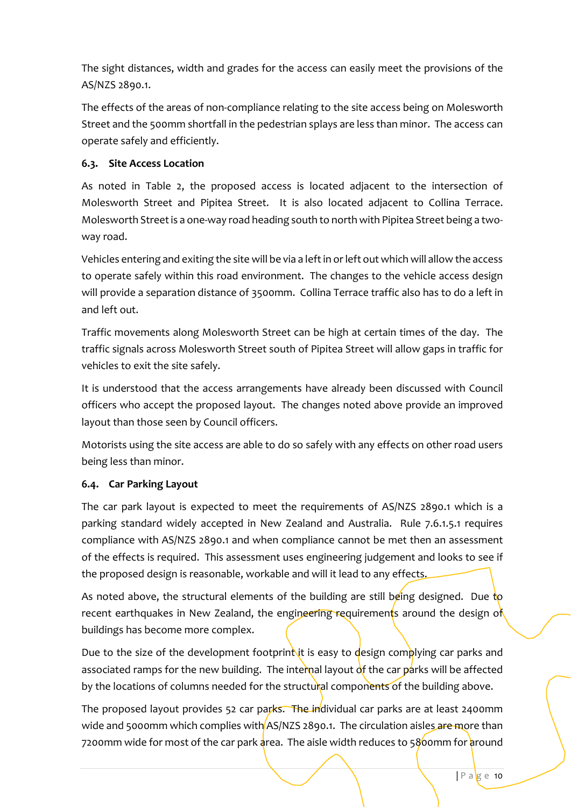The sight distances, width and grades for the access can easily meet the provisions of the AS/NZS 2890.1.

The effects of the areas of non-compliance relating to the site access being on Molesworth Street and the 500mm shortfall in the pedestrian splays are less than minor. The access can operate safely and efficiently.

### **6.3. Site Access Location**

As noted in Table 2, the proposed access is located adjacent to the intersection of Molesworth Street and Pipitea Street. It is also located adjacent to Collina Terrace. Molesworth Street is a one-way road heading south to north with Pipitea Street being a twoway road.

Vehicles entering and exiting the site will be via a left in or left out which will allow the access to operate safely within this road environment. The changes to the vehicle access design will provide a separation distance of 3500mm. Collina Terrace traffic also has to do a left in and left out.

Traffic movements along Molesworth Street can be high at certain times of the day. The traffic signals across Molesworth Street south of Pipitea Street will allow gaps in traffic for vehicles to exit the site safely.

It is understood that the access arrangements have already been discussed with Council officers who accept the proposed layout. The changes noted above provide an improved layout than those seen by Council officers.

Motorists using the site access are able to do so safely with any effects on other road users being less than minor.

## **6.4. Car Parking Layout**

The car park layout is expected to meet the requirements of AS/NZS 2890.1 which is a parking standard widely accepted in New Zealand and Australia. Rule 7.6.1.5.1 requires compliance with AS/NZS 2890.1 and when compliance cannot be met then an assessment of the effects is required. This assessment uses engineering judgement and looks to see if the proposed design is reasonable, workable and will it lead to any effects.

As noted above, the structural elements of the building are still being designed. Due to recent earthquakes in New Zealand, the engineering requirements around the design of buildings has become more complex.

Due to the size of the development footprint it is easy to design complying car parks and associated ramps for the new building. The internal layout of the car parks will be affected by the locations of columns needed for the structural components of the building above.

The proposed layout provides 52 car parks. The individual car parks are at least 2400mm wide and 5000mm which complies with AS/NZS 2890.1. The circulation aisles are more than 7200mm wide for most of the car park area. The aisle width reduces to 5800mm for around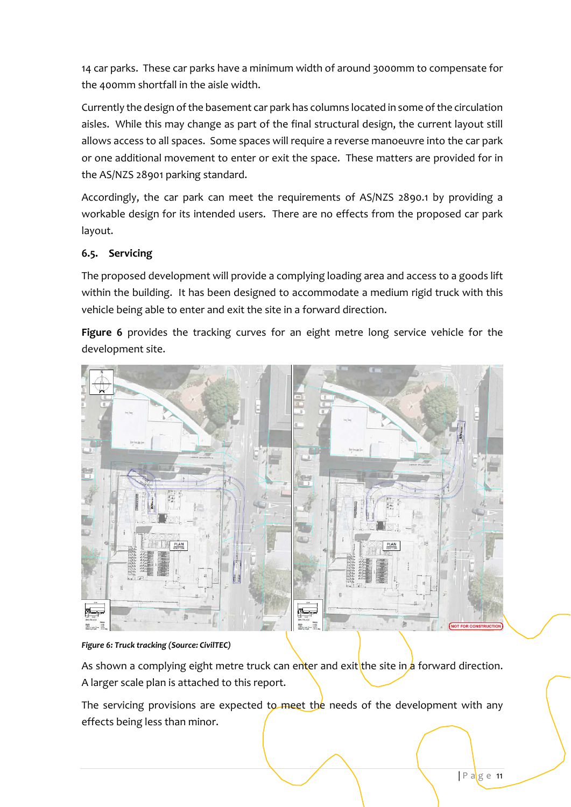14 car parks. These car parks have a minimum width of around 3000mm to compensate for the 400mm shortfall in the aisle width.

Currently the design of the basement car park has columns located in some of the circulation aisles. While this may change as part of the final structural design, the current layout still allows access to all spaces. Some spaces will require a reverse manoeuvre into the car park or one additional movement to enter or exit the space. These matters are provided for in the AS/NZS 28901 parking standard.

Accordingly, the car park can meet the requirements of AS/NZS 2890.1 by providing a workable design for its intended users. There are no effects from the proposed car park layout.

### **6.5. Servicing**

The proposed development will provide a complying loading area and access to a goods lift within the building. It has been designed to accommodate a medium rigid truck with this vehicle being able to enter and exit the site in a forward direction.

**Figure 6** provides the tracking curves for an eight metre long service vehicle for the development site.



#### *Figure 6: Truck tracking (Source: CivilTEC)*

As shown a complying eight metre truck can enter and exit the site in a forward direction. A larger scale plan is attached to this report.

The servicing provisions are expected to meet the needs of the development with any effects being less than minor.